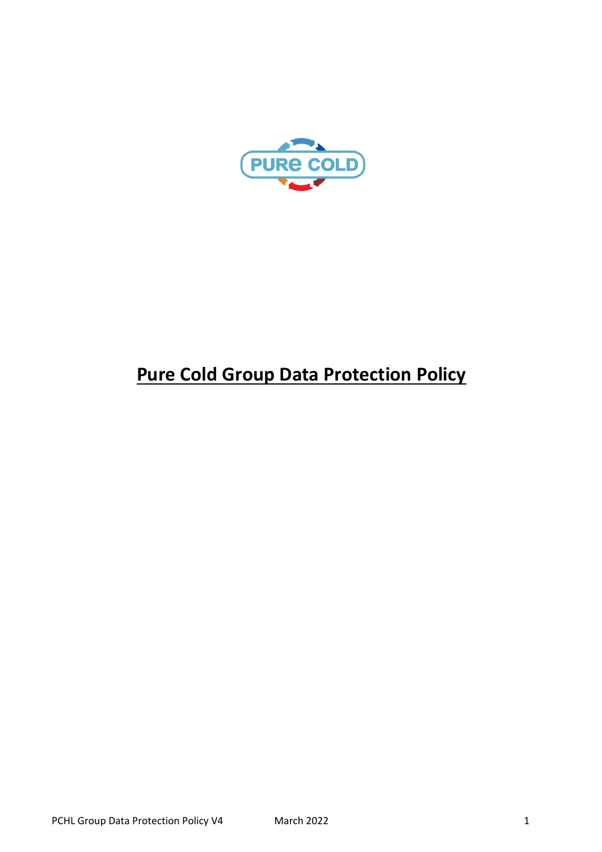

# **Pure Cold Group Data Protection Policy**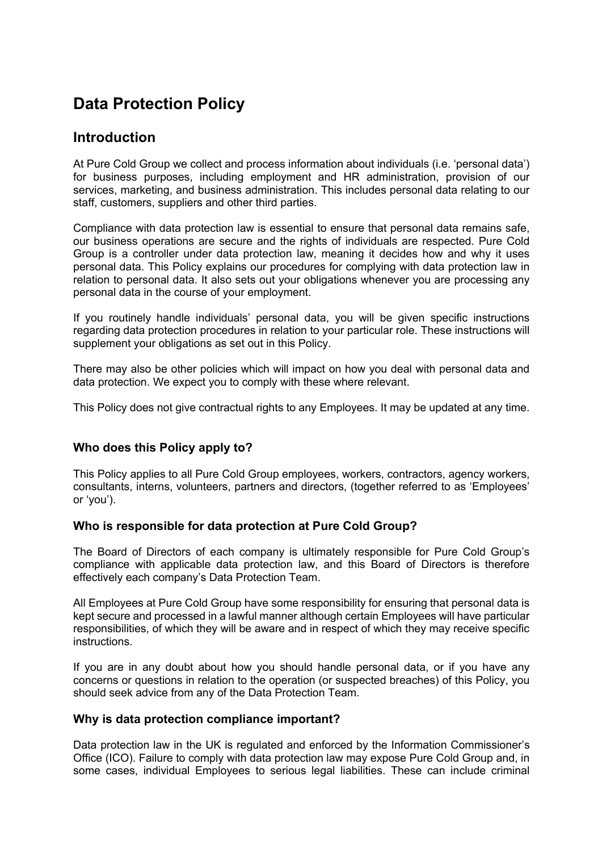## **Data Protection Policy**

## **Introduction**

At Pure Cold Group we collect and process information about individuals (i.e. 'personal data') for business purposes, including employment and HR administration, provision of our services, marketing, and business administration. This includes personal data relating to our staff, customers, suppliers and other third parties.

Compliance with data protection law is essential to ensure that personal data remains safe, our business operations are secure and the rights of individuals are respected. Pure Cold Group is a controller under data protection law, meaning it decides how and why it uses personal data. This Policy explains our procedures for complying with data protection law in relation to personal data. It also sets out your obligations whenever you are processing any personal data in the course of your employment.

If you routinely handle individuals' personal data, you will be given specific instructions regarding data protection procedures in relation to your particular role. These instructions will supplement your obligations as set out in this Policy.

There may also be other policies which will impact on how you deal with personal data and data protection. We expect you to comply with these where relevant.

This Policy does not give contractual rights to any Employees. It may be updated at any time.

#### **Who does this Policy apply to?**

This Policy applies to all Pure Cold Group employees, workers, contractors, agency workers, consultants, interns, volunteers, partners and directors, (together referred to as 'Employees' or 'you').

#### **Who is responsible for data protection at Pure Cold Group?**

The Board of Directors of each company is ultimately responsible for Pure Cold Group's compliance with applicable data protection law, and this Board of Directors is therefore effectively each company's Data Protection Team.

All Employees at Pure Cold Group have some responsibility for ensuring that personal data is kept secure and processed in a lawful manner although certain Employees will have particular responsibilities, of which they will be aware and in respect of which they may receive specific instructions.

If you are in any doubt about how you should handle personal data, or if you have any concerns or questions in relation to the operation (or suspected breaches) of this Policy, you should seek advice from any of the Data Protection Team.

#### **Why is data protection compliance important?**

Data protection law in the UK is regulated and enforced by the Information Commissioner's Office (ICO). Failure to comply with data protection law may expose Pure Cold Group and, in some cases, individual Employees to serious legal liabilities. These can include criminal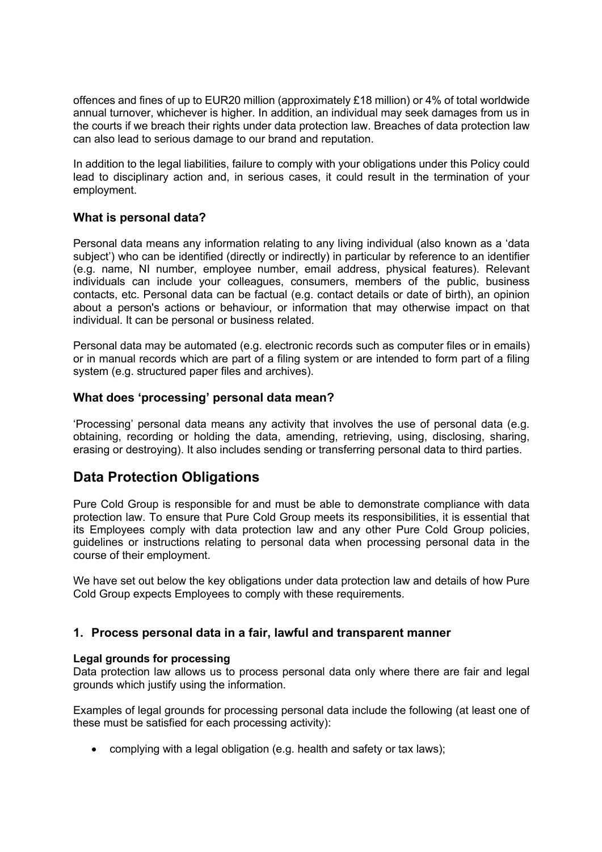offences and fines of up to EUR20 million (approximately £18 million) or 4% of total worldwide annual turnover, whichever is higher. In addition, an individual may seek damages from us in the courts if we breach their rights under data protection law. Breaches of data protection law can also lead to serious damage to our brand and reputation.

In addition to the legal liabilities, failure to comply with your obligations under this Policy could lead to disciplinary action and, in serious cases, it could result in the termination of your employment.

#### **What is personal data?**

Personal data means any information relating to any living individual (also known as a 'data subject') who can be identified (directly or indirectly) in particular by reference to an identifier (e.g. name, NI number, employee number, email address, physical features). Relevant individuals can include your colleagues, consumers, members of the public, business contacts, etc. Personal data can be factual (e.g. contact details or date of birth), an opinion about a person's actions or behaviour, or information that may otherwise impact on that individual. It can be personal or business related.

Personal data may be automated (e.g. electronic records such as computer files or in emails) or in manual records which are part of a filing system or are intended to form part of a filing system (e.g. structured paper files and archives).

#### **What does 'processing' personal data mean?**

'Processing' personal data means any activity that involves the use of personal data (e.g. obtaining, recording or holding the data, amending, retrieving, using, disclosing, sharing, erasing or destroying). It also includes sending or transferring personal data to third parties.

## **Data Protection Obligations**

Pure Cold Group is responsible for and must be able to demonstrate compliance with data protection law. To ensure that Pure Cold Group meets its responsibilities, it is essential that its Employees comply with data protection law and any other Pure Cold Group policies, guidelines or instructions relating to personal data when processing personal data in the course of their employment.

We have set out below the key obligations under data protection law and details of how Pure Cold Group expects Employees to comply with these requirements.

#### **1. Process personal data in a fair, lawful and transparent manner**

#### **Legal grounds for processing**

Data protection law allows us to process personal data only where there are fair and legal grounds which justify using the information.

Examples of legal grounds for processing personal data include the following (at least one of these must be satisfied for each processing activity):

• complying with a legal obligation (e.g. health and safety or tax laws);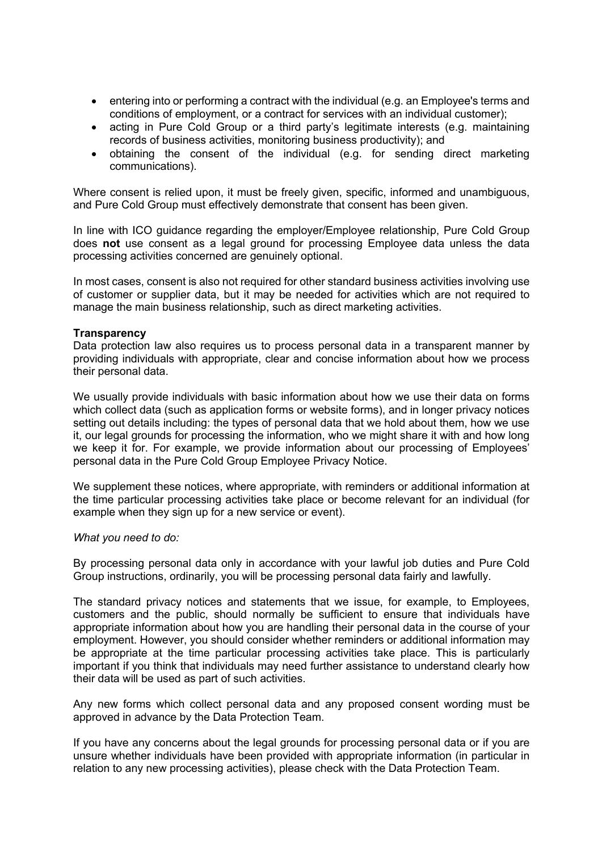- entering into or performing a contract with the individual (e.g. an Employee's terms and conditions of employment, or a contract for services with an individual customer);
- acting in Pure Cold Group or a third party's legitimate interests (e.g. maintaining records of business activities, monitoring business productivity); and
- obtaining the consent of the individual (e.g. for sending direct marketing communications).

Where consent is relied upon, it must be freely given, specific, informed and unambiguous, and Pure Cold Group must effectively demonstrate that consent has been given.

In line with ICO guidance regarding the employer/Employee relationship, Pure Cold Group does **not** use consent as a legal ground for processing Employee data unless the data processing activities concerned are genuinely optional.

In most cases, consent is also not required for other standard business activities involving use of customer or supplier data, but it may be needed for activities which are not required to manage the main business relationship, such as direct marketing activities.

#### **Transparency**

Data protection law also requires us to process personal data in a transparent manner by providing individuals with appropriate, clear and concise information about how we process their personal data.

We usually provide individuals with basic information about how we use their data on forms which collect data (such as application forms or website forms), and in longer privacy notices setting out details including: the types of personal data that we hold about them, how we use it, our legal grounds for processing the information, who we might share it with and how long we keep it for. For example, we provide information about our processing of Employees' personal data in the Pure Cold Group Employee Privacy Notice.

We supplement these notices, where appropriate, with reminders or additional information at the time particular processing activities take place or become relevant for an individual (for example when they sign up for a new service or event).

#### *What you need to do:*

By processing personal data only in accordance with your lawful job duties and Pure Cold Group instructions, ordinarily, you will be processing personal data fairly and lawfully.

The standard privacy notices and statements that we issue, for example, to Employees, customers and the public, should normally be sufficient to ensure that individuals have appropriate information about how you are handling their personal data in the course of your employment. However, you should consider whether reminders or additional information may be appropriate at the time particular processing activities take place. This is particularly important if you think that individuals may need further assistance to understand clearly how their data will be used as part of such activities.

Any new forms which collect personal data and any proposed consent wording must be approved in advance by the Data Protection Team.

If you have any concerns about the legal grounds for processing personal data or if you are unsure whether individuals have been provided with appropriate information (in particular in relation to any new processing activities), please check with the Data Protection Team.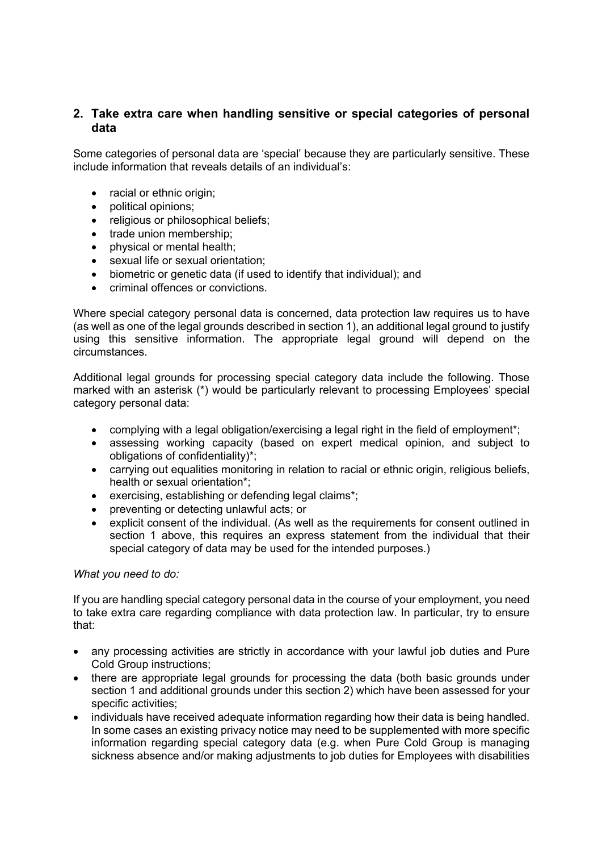#### **2. Take extra care when handling sensitive or special categories of personal data**

Some categories of personal data are 'special' because they are particularly sensitive. These include information that reveals details of an individual's:

- racial or ethnic origin:
- political opinions;
- religious or philosophical beliefs;
- trade union membership:
- physical or mental health;
- sexual life or sexual orientation;
- biometric or genetic data (if used to identify that individual); and
- criminal offences or convictions.

Where special category personal data is concerned, data protection law requires us to have (as well as one of the legal grounds described in section 1), an additional legal ground to justify using this sensitive information. The appropriate legal ground will depend on the circumstances.

Additional legal grounds for processing special category data include the following. Those marked with an asterisk (\*) would be particularly relevant to processing Employees' special category personal data:

- complying with a legal obligation/exercising a legal right in the field of employment<sup>\*</sup>;
- assessing working capacity (based on expert medical opinion, and subject to obligations of confidentiality)\*;
- carrying out equalities monitoring in relation to racial or ethnic origin, religious beliefs, health or sexual orientation\*;
- exercising, establishing or defending legal claims\*;
- preventing or detecting unlawful acts; or
- explicit consent of the individual. (As well as the requirements for consent outlined in section 1 above, this requires an express statement from the individual that their special category of data may be used for the intended purposes.)

#### *What you need to do:*

If you are handling special category personal data in the course of your employment, you need to take extra care regarding compliance with data protection law. In particular, try to ensure that:

- any processing activities are strictly in accordance with your lawful job duties and Pure Cold Group instructions;
- there are appropriate legal grounds for processing the data (both basic grounds under section 1 and additional grounds under this section 2) which have been assessed for your specific activities;
- individuals have received adequate information regarding how their data is being handled. In some cases an existing privacy notice may need to be supplemented with more specific information regarding special category data (e.g. when Pure Cold Group is managing sickness absence and/or making adjustments to job duties for Employees with disabilities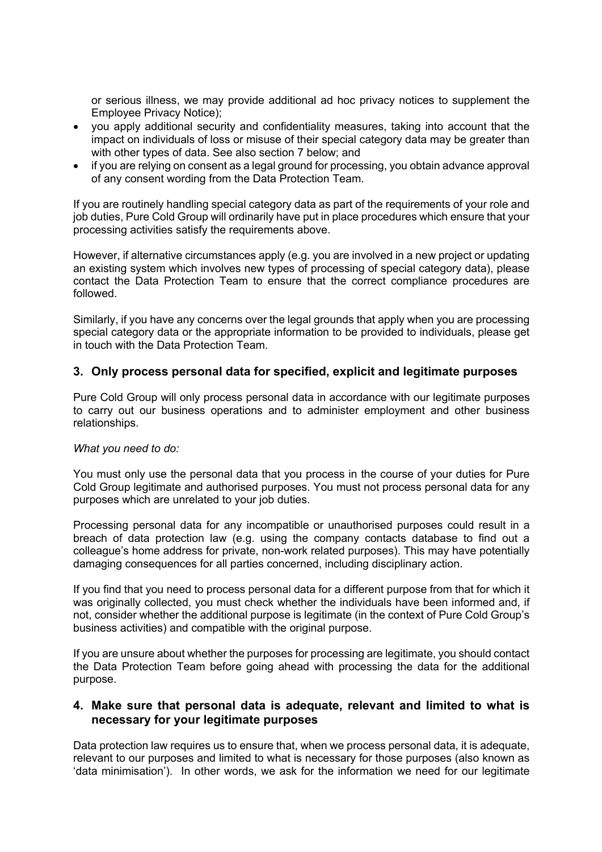or serious illness, we may provide additional ad hoc privacy notices to supplement the Employee Privacy Notice);

- you apply additional security and confidentiality measures, taking into account that the impact on individuals of loss or misuse of their special category data may be greater than with other types of data. See also section 7 below; and
- if you are relying on consent as a legal ground for processing, you obtain advance approval of any consent wording from the Data Protection Team.

If you are routinely handling special category data as part of the requirements of your role and job duties, Pure Cold Group will ordinarily have put in place procedures which ensure that your processing activities satisfy the requirements above.

However, if alternative circumstances apply (e.g. you are involved in a new project or updating an existing system which involves new types of processing of special category data), please contact the Data Protection Team to ensure that the correct compliance procedures are followed.

Similarly, if you have any concerns over the legal grounds that apply when you are processing special category data or the appropriate information to be provided to individuals, please get in touch with the Data Protection Team.

#### **3. Only process personal data for specified, explicit and legitimate purposes**

Pure Cold Group will only process personal data in accordance with our legitimate purposes to carry out our business operations and to administer employment and other business relationships.

#### *What you need to do:*

You must only use the personal data that you process in the course of your duties for Pure Cold Group legitimate and authorised purposes. You must not process personal data for any purposes which are unrelated to your job duties.

Processing personal data for any incompatible or unauthorised purposes could result in a breach of data protection law (e.g. using the company contacts database to find out a colleague's home address for private, non-work related purposes). This may have potentially damaging consequences for all parties concerned, including disciplinary action.

If you find that you need to process personal data for a different purpose from that for which it was originally collected, you must check whether the individuals have been informed and, if not, consider whether the additional purpose is legitimate (in the context of Pure Cold Group's business activities) and compatible with the original purpose.

If you are unsure about whether the purposes for processing are legitimate, you should contact the Data Protection Team before going ahead with processing the data for the additional purpose.

#### **4. Make sure that personal data is adequate, relevant and limited to what is necessary for your legitimate purposes**

Data protection law requires us to ensure that, when we process personal data, it is adequate, relevant to our purposes and limited to what is necessary for those purposes (also known as 'data minimisation'). In other words, we ask for the information we need for our legitimate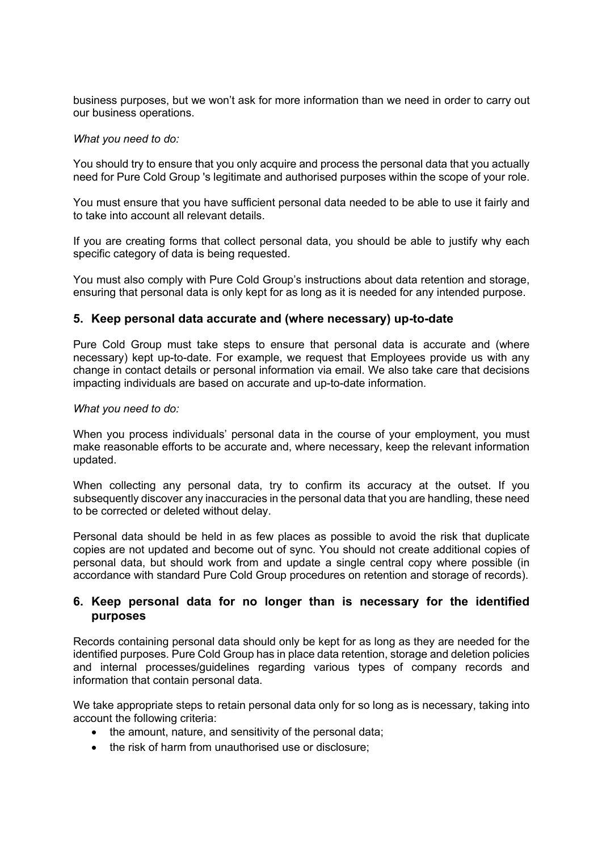business purposes, but we won't ask for more information than we need in order to carry out our business operations.

#### *What you need to do:*

You should try to ensure that you only acquire and process the personal data that you actually need for Pure Cold Group 's legitimate and authorised purposes within the scope of your role.

You must ensure that you have sufficient personal data needed to be able to use it fairly and to take into account all relevant details.

If you are creating forms that collect personal data, you should be able to justify why each specific category of data is being requested.

You must also comply with Pure Cold Group's instructions about data retention and storage, ensuring that personal data is only kept for as long as it is needed for any intended purpose.

#### **5. Keep personal data accurate and (where necessary) up-to-date**

Pure Cold Group must take steps to ensure that personal data is accurate and (where necessary) kept up-to-date. For example, we request that Employees provide us with any change in contact details or personal information via email. We also take care that decisions impacting individuals are based on accurate and up-to-date information.

#### *What you need to do:*

When you process individuals' personal data in the course of your employment, you must make reasonable efforts to be accurate and, where necessary, keep the relevant information updated.

When collecting any personal data, try to confirm its accuracy at the outset. If you subsequently discover any inaccuracies in the personal data that you are handling, these need to be corrected or deleted without delay.

Personal data should be held in as few places as possible to avoid the risk that duplicate copies are not updated and become out of sync. You should not create additional copies of personal data, but should work from and update a single central copy where possible (in accordance with standard Pure Cold Group procedures on retention and storage of records).

#### **6. Keep personal data for no longer than is necessary for the identified purposes**

Records containing personal data should only be kept for as long as they are needed for the identified purposes. Pure Cold Group has in place data retention, storage and deletion policies and internal processes/guidelines regarding various types of company records and information that contain personal data.

We take appropriate steps to retain personal data only for so long as is necessary, taking into account the following criteria:

- the amount, nature, and sensitivity of the personal data;
- the risk of harm from unauthorised use or disclosure;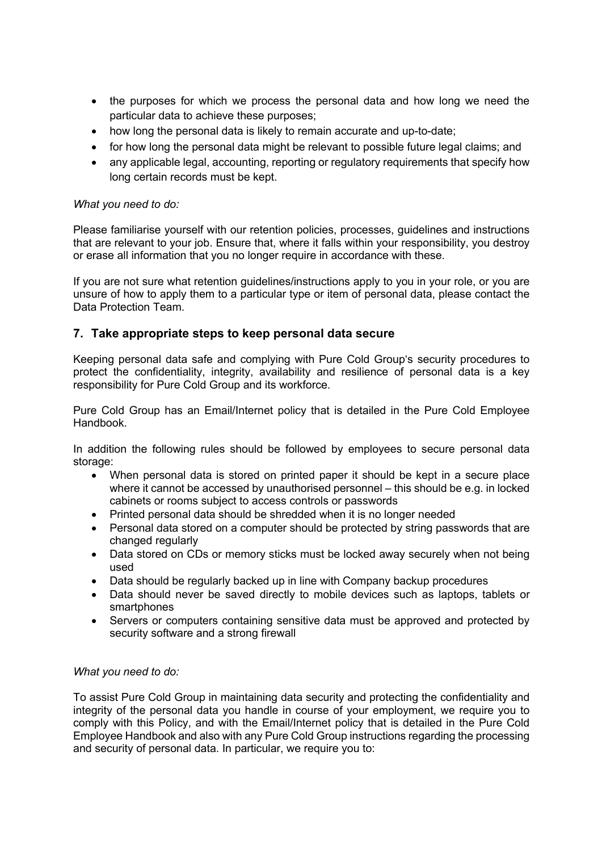- the purposes for which we process the personal data and how long we need the particular data to achieve these purposes;
- how long the personal data is likely to remain accurate and up-to-date;
- for how long the personal data might be relevant to possible future legal claims; and
- any applicable legal, accounting, reporting or regulatory requirements that specify how long certain records must be kept.

#### *What you need to do:*

Please familiarise yourself with our retention policies, processes, guidelines and instructions that are relevant to your job. Ensure that, where it falls within your responsibility, you destroy or erase all information that you no longer require in accordance with these.

If you are not sure what retention guidelines/instructions apply to you in your role, or you are unsure of how to apply them to a particular type or item of personal data, please contact the Data Protection Team.

#### **7. Take appropriate steps to keep personal data secure**

Keeping personal data safe and complying with Pure Cold Group's security procedures to protect the confidentiality, integrity, availability and resilience of personal data is a key responsibility for Pure Cold Group and its workforce.

Pure Cold Group has an Email/Internet policy that is detailed in the Pure Cold Employee Handbook.

In addition the following rules should be followed by employees to secure personal data storage:

- When personal data is stored on printed paper it should be kept in a secure place where it cannot be accessed by unauthorised personnel – this should be e.g. in locked cabinets or rooms subject to access controls or passwords
- Printed personal data should be shredded when it is no longer needed
- Personal data stored on a computer should be protected by string passwords that are changed regularly
- Data stored on CDs or memory sticks must be locked away securely when not being used
- Data should be regularly backed up in line with Company backup procedures
- Data should never be saved directly to mobile devices such as laptops, tablets or smartphones
- Servers or computers containing sensitive data must be approved and protected by security software and a strong firewall

#### *What you need to do:*

To assist Pure Cold Group in maintaining data security and protecting the confidentiality and integrity of the personal data you handle in course of your employment, we require you to comply with this Policy, and with the Email/Internet policy that is detailed in the Pure Cold Employee Handbook and also with any Pure Cold Group instructions regarding the processing and security of personal data. In particular, we require you to: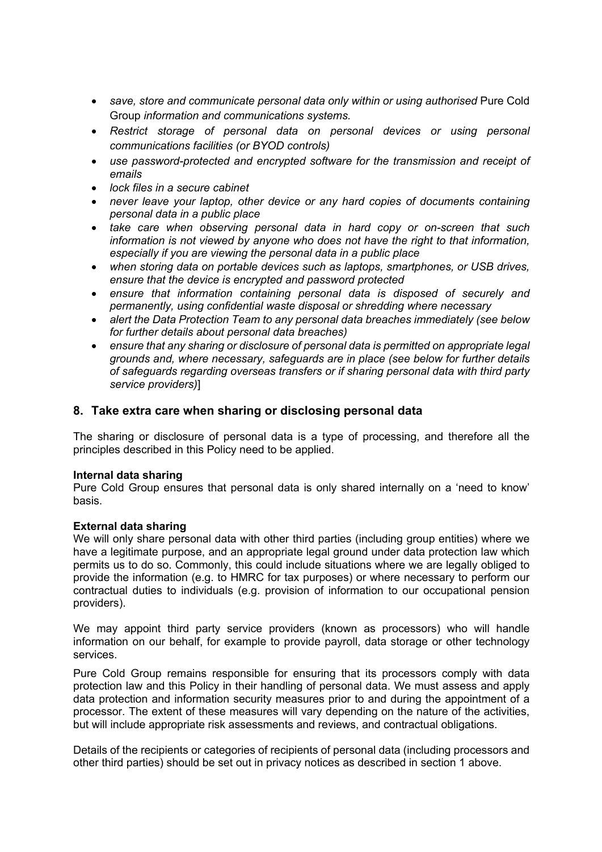- *save, store and communicate personal data only within or using authorised* Pure Cold Group *information and communications systems.*
- *Restrict storage of personal data on personal devices or using personal communications facilities (or BYOD controls)*
- *use password-protected and encrypted software for the transmission and receipt of emails*
- *lock files in a secure cabinet*
- *never leave your laptop, other device or any hard copies of documents containing personal data in a public place*
- *take care when observing personal data in hard copy or on-screen that such information is not viewed by anyone who does not have the right to that information, especially if you are viewing the personal data in a public place*
- *when storing data on portable devices such as laptops, smartphones, or USB drives, ensure that the device is encrypted and password protected*
- *ensure that information containing personal data is disposed of securely and permanently, using confidential waste disposal or shredding where necessary*
- *alert the Data Protection Team to any personal data breaches immediately (see below for further details about personal data breaches)*
- *ensure that any sharing or disclosure of personal data is permitted on appropriate legal grounds and, where necessary, safeguards are in place (see below for further details of safeguards regarding overseas transfers or if sharing personal data with third party service providers)*]

#### **8. Take extra care when sharing or disclosing personal data**

The sharing or disclosure of personal data is a type of processing, and therefore all the principles described in this Policy need to be applied.

#### **Internal data sharing**

Pure Cold Group ensures that personal data is only shared internally on a 'need to know' basis.

#### **External data sharing**

We will only share personal data with other third parties (including group entities) where we have a legitimate purpose, and an appropriate legal ground under data protection law which permits us to do so. Commonly, this could include situations where we are legally obliged to provide the information (e.g. to HMRC for tax purposes) or where necessary to perform our contractual duties to individuals (e.g. provision of information to our occupational pension providers).

We may appoint third party service providers (known as processors) who will handle information on our behalf, for example to provide payroll, data storage or other technology services.

Pure Cold Group remains responsible for ensuring that its processors comply with data protection law and this Policy in their handling of personal data. We must assess and apply data protection and information security measures prior to and during the appointment of a processor. The extent of these measures will vary depending on the nature of the activities, but will include appropriate risk assessments and reviews, and contractual obligations.

Details of the recipients or categories of recipients of personal data (including processors and other third parties) should be set out in privacy notices as described in section 1 above.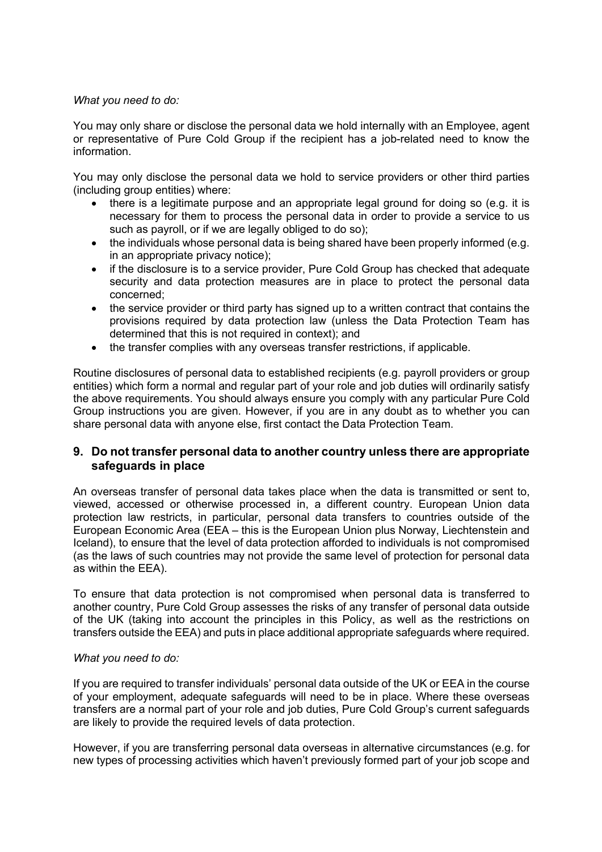#### *What you need to do:*

You may only share or disclose the personal data we hold internally with an Employee, agent or representative of Pure Cold Group if the recipient has a job-related need to know the information.

You may only disclose the personal data we hold to service providers or other third parties (including group entities) where:

- there is a legitimate purpose and an appropriate legal ground for doing so (e.g. it is necessary for them to process the personal data in order to provide a service to us such as payroll, or if we are legally obliged to do so);
- the individuals whose personal data is being shared have been properly informed (e.g. in an appropriate privacy notice);
- if the disclosure is to a service provider, Pure Cold Group has checked that adequate security and data protection measures are in place to protect the personal data concerned;
- the service provider or third party has signed up to a written contract that contains the provisions required by data protection law (unless the Data Protection Team has determined that this is not required in context); and
- the transfer complies with any overseas transfer restrictions, if applicable.

Routine disclosures of personal data to established recipients (e.g. payroll providers or group entities) which form a normal and regular part of your role and job duties will ordinarily satisfy the above requirements. You should always ensure you comply with any particular Pure Cold Group instructions you are given. However, if you are in any doubt as to whether you can share personal data with anyone else, first contact the Data Protection Team.

#### **9. Do not transfer personal data to another country unless there are appropriate safeguards in place**

An overseas transfer of personal data takes place when the data is transmitted or sent to, viewed, accessed or otherwise processed in, a different country. European Union data protection law restricts, in particular, personal data transfers to countries outside of the European Economic Area (EEA – this is the European Union plus Norway, Liechtenstein and Iceland), to ensure that the level of data protection afforded to individuals is not compromised (as the laws of such countries may not provide the same level of protection for personal data as within the EEA).

To ensure that data protection is not compromised when personal data is transferred to another country, Pure Cold Group assesses the risks of any transfer of personal data outside of the UK (taking into account the principles in this Policy, as well as the restrictions on transfers outside the EEA) and puts in place additional appropriate safeguards where required.

#### *What you need to do:*

If you are required to transfer individuals' personal data outside of the UK or EEA in the course of your employment, adequate safeguards will need to be in place. Where these overseas transfers are a normal part of your role and job duties, Pure Cold Group's current safeguards are likely to provide the required levels of data protection.

However, if you are transferring personal data overseas in alternative circumstances (e.g. for new types of processing activities which haven't previously formed part of your job scope and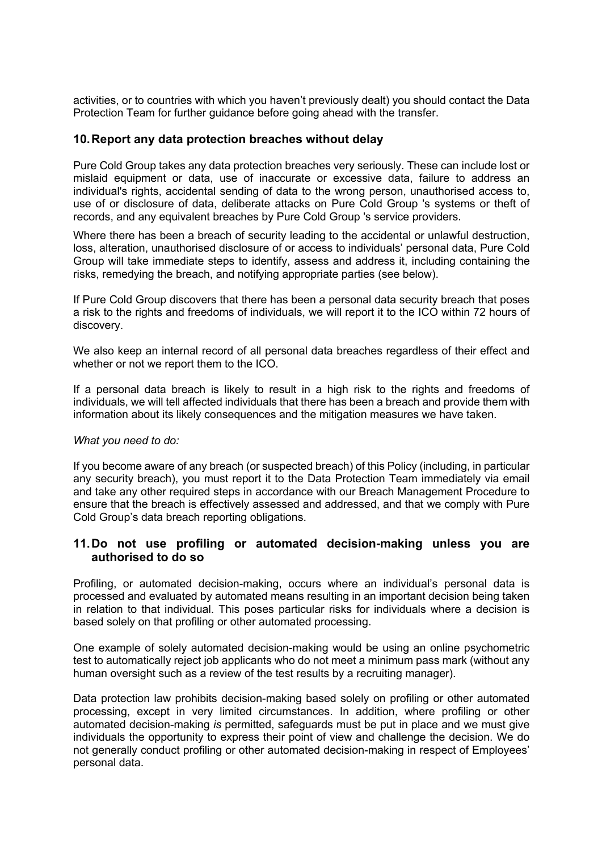activities, or to countries with which you haven't previously dealt) you should contact the Data Protection Team for further guidance before going ahead with the transfer.

#### **10.Report any data protection breaches without delay**

Pure Cold Group takes any data protection breaches very seriously. These can include lost or mislaid equipment or data, use of inaccurate or excessive data, failure to address an individual's rights, accidental sending of data to the wrong person, unauthorised access to, use of or disclosure of data, deliberate attacks on Pure Cold Group 's systems or theft of records, and any equivalent breaches by Pure Cold Group 's service providers.

Where there has been a breach of security leading to the accidental or unlawful destruction, loss, alteration, unauthorised disclosure of or access to individuals' personal data, Pure Cold Group will take immediate steps to identify, assess and address it, including containing the risks, remedying the breach, and notifying appropriate parties (see below).

If Pure Cold Group discovers that there has been a personal data security breach that poses a risk to the rights and freedoms of individuals, we will report it to the ICO within 72 hours of discovery.

We also keep an internal record of all personal data breaches regardless of their effect and whether or not we report them to the ICO.

If a personal data breach is likely to result in a high risk to the rights and freedoms of individuals, we will tell affected individuals that there has been a breach and provide them with information about its likely consequences and the mitigation measures we have taken.

#### *What you need to do:*

If you become aware of any breach (or suspected breach) of this Policy (including, in particular any security breach), you must report it to the Data Protection Team immediately via email and take any other required steps in accordance with our Breach Management Procedure to ensure that the breach is effectively assessed and addressed, and that we comply with Pure Cold Group's data breach reporting obligations.

#### **11.Do not use profiling or automated decision-making unless you are authorised to do so**

Profiling, or automated decision-making, occurs where an individual's personal data is processed and evaluated by automated means resulting in an important decision being taken in relation to that individual. This poses particular risks for individuals where a decision is based solely on that profiling or other automated processing.

One example of solely automated decision-making would be using an online psychometric test to automatically reject job applicants who do not meet a minimum pass mark (without any human oversight such as a review of the test results by a recruiting manager).

Data protection law prohibits decision-making based solely on profiling or other automated processing, except in very limited circumstances. In addition, where profiling or other automated decision-making *is* permitted, safeguards must be put in place and we must give individuals the opportunity to express their point of view and challenge the decision. We do not generally conduct profiling or other automated decision-making in respect of Employees' personal data.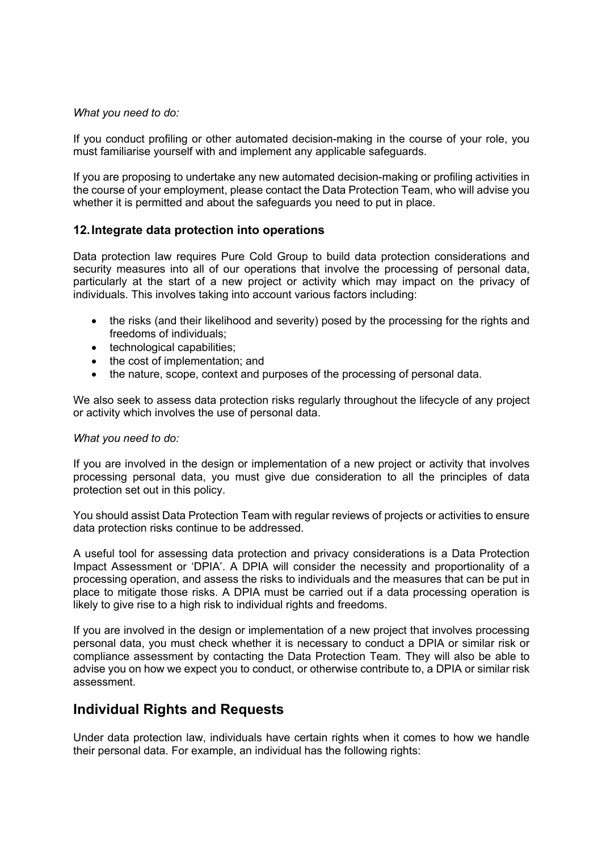#### *What you need to do:*

If you conduct profiling or other automated decision-making in the course of your role, you must familiarise yourself with and implement any applicable safeguards.

If you are proposing to undertake any new automated decision-making or profiling activities in the course of your employment, please contact the Data Protection Team, who will advise you whether it is permitted and about the safeguards you need to put in place.

#### **12.Integrate data protection into operations**

Data protection law requires Pure Cold Group to build data protection considerations and security measures into all of our operations that involve the processing of personal data, particularly at the start of a new project or activity which may impact on the privacy of individuals. This involves taking into account various factors including:

- the risks (and their likelihood and severity) posed by the processing for the rights and freedoms of individuals;
- technological capabilities;
- the cost of implementation: and
- the nature, scope, context and purposes of the processing of personal data.

We also seek to assess data protection risks regularly throughout the lifecycle of any project or activity which involves the use of personal data.

#### *What you need to do:*

If you are involved in the design or implementation of a new project or activity that involves processing personal data, you must give due consideration to all the principles of data protection set out in this policy.

You should assist Data Protection Team with regular reviews of projects or activities to ensure data protection risks continue to be addressed.

A useful tool for assessing data protection and privacy considerations is a Data Protection Impact Assessment or 'DPIA'. A DPIA will consider the necessity and proportionality of a processing operation, and assess the risks to individuals and the measures that can be put in place to mitigate those risks. A DPIA must be carried out if a data processing operation is likely to give rise to a high risk to individual rights and freedoms.

If you are involved in the design or implementation of a new project that involves processing personal data, you must check whether it is necessary to conduct a DPIA or similar risk or compliance assessment by contacting the Data Protection Team. They will also be able to advise you on how we expect you to conduct, or otherwise contribute to, a DPIA or similar risk assessment.

### **Individual Rights and Requests**

Under data protection law, individuals have certain rights when it comes to how we handle their personal data. For example, an individual has the following rights: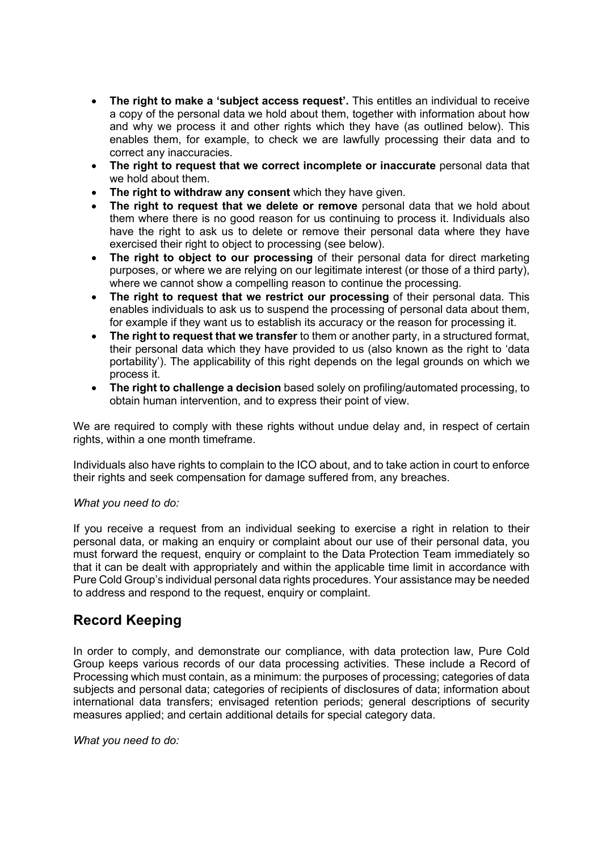- **The right to make a 'subject access request'.** This entitles an individual to receive a copy of the personal data we hold about them, together with information about how and why we process it and other rights which they have (as outlined below). This enables them, for example, to check we are lawfully processing their data and to correct any inaccuracies.
- **The right to request that we correct incomplete or inaccurate** personal data that we hold about them.
- **The right to withdraw any consent** which they have given.
- **The right to request that we delete or remove** personal data that we hold about them where there is no good reason for us continuing to process it. Individuals also have the right to ask us to delete or remove their personal data where they have exercised their right to object to processing (see below).
- **The right to object to our processing** of their personal data for direct marketing purposes, or where we are relying on our legitimate interest (or those of a third party), where we cannot show a compelling reason to continue the processing.
- **The right to request that we restrict our processing** of their personal data. This enables individuals to ask us to suspend the processing of personal data about them, for example if they want us to establish its accuracy or the reason for processing it.
- **The right to request that we transfer** to them or another party, in a structured format, their personal data which they have provided to us (also known as the right to 'data portability'). The applicability of this right depends on the legal grounds on which we process it.
- **The right to challenge a decision** based solely on profiling/automated processing, to obtain human intervention, and to express their point of view.

We are required to comply with these rights without undue delay and, in respect of certain rights, within a one month timeframe.

Individuals also have rights to complain to the ICO about, and to take action in court to enforce their rights and seek compensation for damage suffered from, any breaches.

#### *What you need to do:*

If you receive a request from an individual seeking to exercise a right in relation to their personal data, or making an enquiry or complaint about our use of their personal data, you must forward the request, enquiry or complaint to the Data Protection Team immediately so that it can be dealt with appropriately and within the applicable time limit in accordance with Pure Cold Group's individual personal data rights procedures. Your assistance may be needed to address and respond to the request, enquiry or complaint.

## **Record Keeping**

In order to comply, and demonstrate our compliance, with data protection law, Pure Cold Group keeps various records of our data processing activities. These include a Record of Processing which must contain, as a minimum: the purposes of processing; categories of data subjects and personal data; categories of recipients of disclosures of data; information about international data transfers; envisaged retention periods; general descriptions of security measures applied; and certain additional details for special category data.

*What you need to do:*